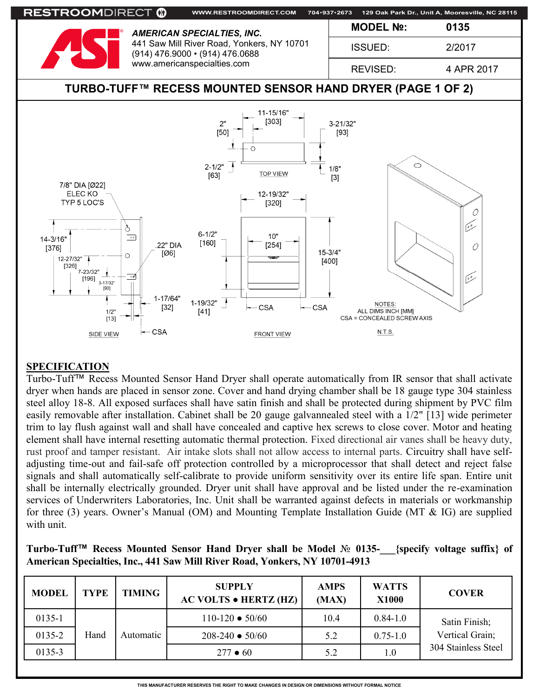

## **SPECIFICATION**

Turbo-Tuff™ Recess Mounted Sensor Hand Dryer shall operate automatically from IR sensor that shall activate dryer when hands are placed in sensor zone. Cover and hand drying chamber shall be 18 gauge type 304 stainless steel alloy 18-8. All exposed surfaces shall have satin finish and shall be protected during shipment by PVC film easily removable after installation. Cabinet shall be 20 gauge galvannealed steel with a 1/2" [13] wide perimeter trim to lay flush against wall and shall have concealed and captive hex screws to close cover. Motor and heating element shall have internal resetting automatic thermal protection. Fixed directional air vanes shall be heavy duty, rust proof and tamper resistant. Air intake slots shall not allow access to internal parts. Circuitry shall have selfadjusting time-out and fail-safe off protection controlled by a microprocessor that shall detect and reject false signals and shall automatically self-calibrate to provide uniform sensitivity over its entire life span. Entire unit shall be internally electrically grounded. Dryer unit shall have approval and be listed under the re-examination services of Underwriters Laboratories, Inc. Unit shall be warranted against defects in materials or workmanship for three (3) years. Owner's Manual (OM) and Mounting Template Installation Guide (MT & IG) are supplied with unit.

| Turbo-Tuff™ Recess Mounted Sensor Hand Dryer shall be Model № 0135-___{specify voltage suffix} of |  |  |  |  |  |  |  |
|---------------------------------------------------------------------------------------------------|--|--|--|--|--|--|--|
| American Specialties, Inc., 441 Saw Mill River Road, Yonkers, NY 10701-4913                       |  |  |  |  |  |  |  |

| <b>MODEL</b> | <b>TYPE</b> | <b>TIMING</b> | <b>SUPPLY</b><br><b>AC VOLTS • HERTZ (HZ)</b> | <b>AMPS</b><br>(MAX) | <b>WATTS</b><br><b>X1000</b> | <b>COVER</b>        |
|--------------|-------------|---------------|-----------------------------------------------|----------------------|------------------------------|---------------------|
| $0135 - 1$   |             |               | $110-120 \bullet 50/60$                       | 10.4                 | $0.84 - 1.0$                 | Satin Finish;       |
| 0135-2       | Hand        | Automatic     | $208 - 240 \cdot 50/60$                       | 5.2                  | $0.75 - 1.0$                 | Vertical Grain;     |
| 0135-3       |             |               | $277 \bullet 60$                              | 5.2                  | 1.0                          | 304 Stainless Steel |